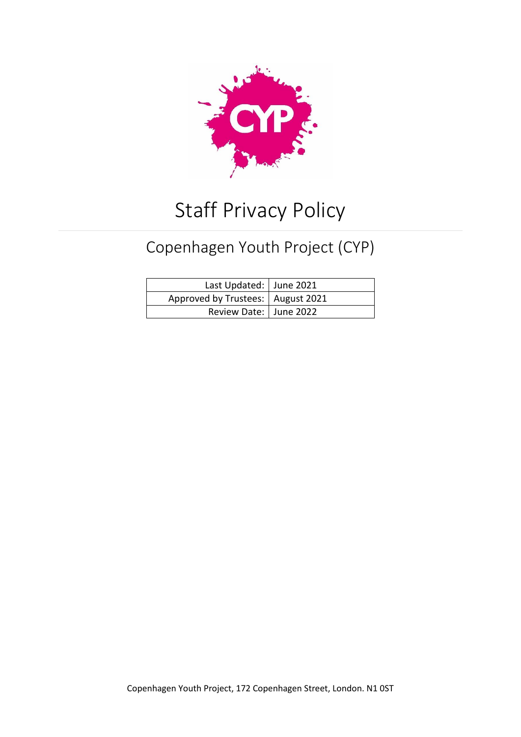

# Staff Privacy Policy

# Copenhagen Youth Project (CYP)

| Last Updated:   June 2021           |  |
|-------------------------------------|--|
| Approved by Trustees:   August 2021 |  |
| Review Date:   June 2022            |  |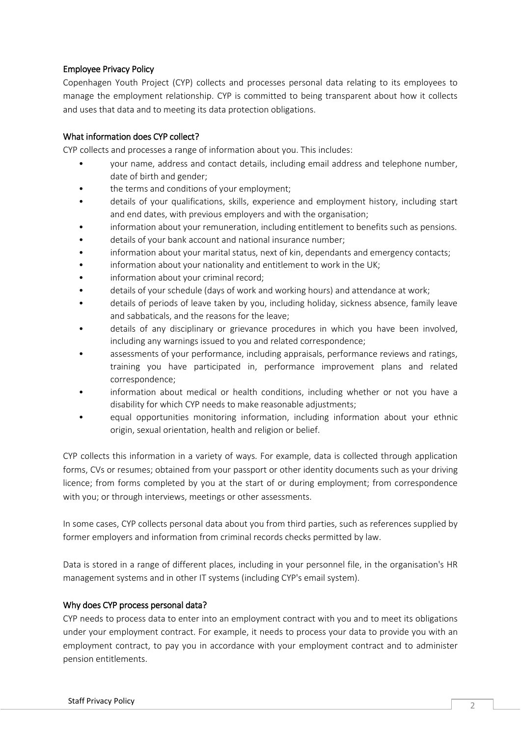# Employee Privacy Policy

Copenhagen Youth Project (CYP) collects and processes personal data relating to its employees to manage the employment relationship. CYP is committed to being transparent about how it collects and uses that data and to meeting its data protection obligations.

## What information does CYP collect?

CYP collects and processes a range of information about you. This includes:

- your name, address and contact details, including email address and telephone number, date of birth and gender;
- the terms and conditions of your employment;
- details of your qualifications, skills, experience and employment history, including start and end dates, with previous employers and with the organisation;
- information about your remuneration, including entitlement to benefits such as pensions.
- details of your bank account and national insurance number;
- information about your marital status, next of kin, dependants and emergency contacts;
- information about your nationality and entitlement to work in the UK;
- information about your criminal record;
- details of your schedule (days of work and working hours) and attendance at work;
- details of periods of leave taken by you, including holiday, sickness absence, family leave and sabbaticals, and the reasons for the leave;
- details of any disciplinary or grievance procedures in which you have been involved, including any warnings issued to you and related correspondence;
- assessments of your performance, including appraisals, performance reviews and ratings, training you have participated in, performance improvement plans and related correspondence;
- information about medical or health conditions, including whether or not you have a disability for which CYP needs to make reasonable adjustments;
- equal opportunities monitoring information, including information about your ethnic origin, sexual orientation, health and religion or belief.

CYP collects this information in a variety of ways. For example, data is collected through application forms, CVs or resumes; obtained from your passport or other identity documents such as your driving licence; from forms completed by you at the start of or during employment; from correspondence with you; or through interviews, meetings or other assessments.

In some cases, CYP collects personal data about you from third parties, such as references supplied by former employers and information from criminal records checks permitted by law.

Data is stored in a range of different places, including in your personnel file, in the organisation's HR management systems and in other IT systems (including CYP's email system).

#### Why does CYP process personal data?

CYP needs to process data to enter into an employment contract with you and to meet its obligations under your employment contract. For example, it needs to process your data to provide you with an employment contract, to pay you in accordance with your employment contract and to administer pension entitlements.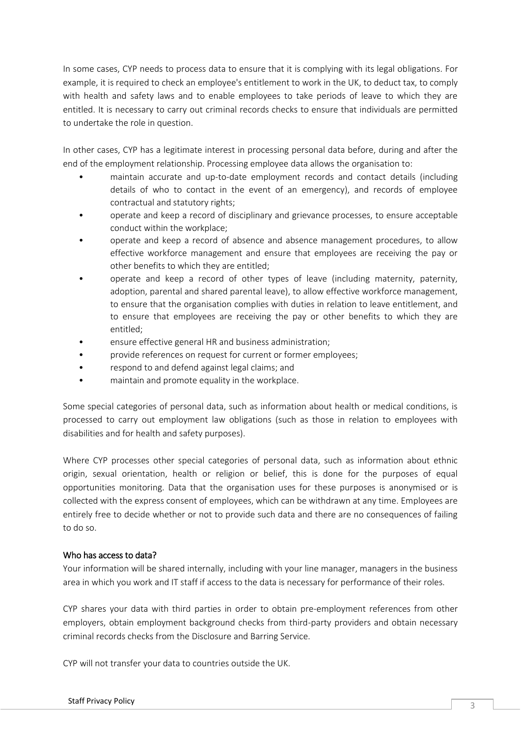In some cases, CYP needs to process data to ensure that it is complying with its legal obligations. For example, it is required to check an employee's entitlement to work in the UK, to deduct tax, to comply with health and safety laws and to enable employees to take periods of leave to which they are entitled. It is necessary to carry out criminal records checks to ensure that individuals are permitted to undertake the role in question.

In other cases, CYP has a legitimate interest in processing personal data before, during and after the end of the employment relationship. Processing employee data allows the organisation to:

- maintain accurate and up-to-date employment records and contact details (including details of who to contact in the event of an emergency), and records of employee contractual and statutory rights;
- operate and keep a record of disciplinary and grievance processes, to ensure acceptable conduct within the workplace;
- operate and keep a record of absence and absence management procedures, to allow effective workforce management and ensure that employees are receiving the pay or other benefits to which they are entitled;
- operate and keep a record of other types of leave (including maternity, paternity, adoption, parental and shared parental leave), to allow effective workforce management, to ensure that the organisation complies with duties in relation to leave entitlement, and to ensure that employees are receiving the pay or other benefits to which they are entitled;
- ensure effective general HR and business administration;
- provide references on request for current or former employees;
- respond to and defend against legal claims; and
- maintain and promote equality in the workplace.

Some special categories of personal data, such as information about health or medical conditions, is processed to carry out employment law obligations (such as those in relation to employees with disabilities and for health and safety purposes).

Where CYP processes other special categories of personal data, such as information about ethnic origin, sexual orientation, health or religion or belief, this is done for the purposes of equal opportunities monitoring. Data that the organisation uses for these purposes is anonymised or is collected with the express consent of employees, which can be withdrawn at any time. Employees are entirely free to decide whether or not to provide such data and there are no consequences of failing to do so.

#### Who has access to data?

Your information will be shared internally, including with your line manager, managers in the business area in which you work and IT staff if access to the data is necessary for performance of their roles.

CYP shares your data with third parties in order to obtain pre-employment references from other employers, obtain employment background checks from third-party providers and obtain necessary criminal records checks from the Disclosure and Barring Service.

CYP will not transfer your data to countries outside the UK.